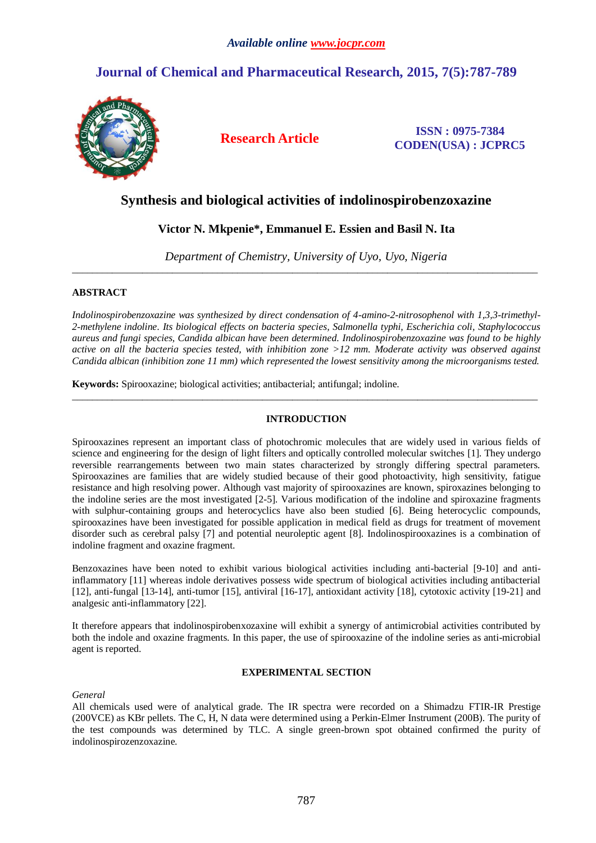# **Journal of Chemical and Pharmaceutical Research, 2015, 7(5):787-789**



**Research Article ISSN : 0975-7384 CODEN(USA) : JCPRC5**

## **Synthesis and biological activities of indolinospirobenzoxazine**

## **Victor N. Mkpenie\*, Emmanuel E. Essien and Basil N. Ita**

*Department of Chemistry, University of Uyo, Uyo, Nigeria* \_\_\_\_\_\_\_\_\_\_\_\_\_\_\_\_\_\_\_\_\_\_\_\_\_\_\_\_\_\_\_\_\_\_\_\_\_\_\_\_\_\_\_\_\_\_\_\_\_\_\_\_\_\_\_\_\_\_\_\_\_\_\_\_\_\_\_\_\_\_\_\_\_\_\_\_\_\_\_\_\_\_\_\_\_\_\_\_\_\_\_\_\_

## **ABSTRACT**

*Indolinospirobenzoxazine was synthesized by direct condensation of 4-amino-2-nitrosophenol with 1,3,3-trimethyl-2-methylene indoline. Its biological effects on bacteria species, Salmonella typhi, Escherichia coli, Staphylococcus aureus and fungi species, Candida albican have been determined. Indolinospirobenzoxazine was found to be highly active on all the bacteria species tested, with inhibition zone >12 mm. Moderate activity was observed against Candida albican (inhibition zone 11 mm) which represented the lowest sensitivity among the microorganisms tested.*

**Keywords:** Spirooxazine; biological activities; antibacterial; antifungal; indoline.

## **INTRODUCTION**

 $\_$  ,  $\_$  ,  $\_$  ,  $\_$  ,  $\_$  ,  $\_$  ,  $\_$  ,  $\_$  ,  $\_$  ,  $\_$  ,  $\_$  ,  $\_$  ,  $\_$  ,  $\_$  ,  $\_$  ,  $\_$  ,  $\_$  ,  $\_$  ,  $\_$  ,  $\_$  ,  $\_$  ,  $\_$  ,  $\_$  ,  $\_$  ,  $\_$  ,  $\_$  ,  $\_$  ,  $\_$  ,  $\_$  ,  $\_$  ,  $\_$  ,  $\_$  ,  $\_$  ,  $\_$  ,  $\_$  ,  $\_$  ,  $\_$  ,

Spirooxazines represent an important class of photochromic molecules that are widely used in various fields of science and engineering for the design of light filters and optically controlled molecular switches [1]. They undergo reversible rearrangements between two main states characterized by strongly differing spectral parameters. Spirooxazines are families that are widely studied because of their good photoactivity, high sensitivity, fatigue resistance and high resolving power. Although vast majority of spirooxazines are known, spiroxazines belonging to the indoline series are the most investigated [2-5]. Various modification of the indoline and spiroxazine fragments with sulphur-containing groups and heterocyclics have also been studied [6]. Being heterocyclic compounds, spirooxazines have been investigated for possible application in medical field as drugs for treatment of movement disorder such as cerebral palsy [7] and potential neuroleptic agent [8]. Indolinospirooxazines is a combination of indoline fragment and oxazine fragment.

Benzoxazines have been noted to exhibit various biological activities including anti-bacterial [9-10] and antiinflammatory [11] whereas indole derivatives possess wide spectrum of biological activities including antibacterial [12], anti-fungal [13-14], anti-tumor [15], antiviral [16-17], antioxidant activity [18], cytotoxic activity [19-21] and analgesic anti-inflammatory [22].

It therefore appears that indolinospirobenxozaxine will exhibit a synergy of antimicrobial activities contributed by both the indole and oxazine fragments. In this paper, the use of spirooxazine of the indoline series as anti-microbial agent is reported.

## **EXPERIMENTAL SECTION**

*General*

All chemicals used were of analytical grade. The IR spectra were recorded on a Shimadzu FTIR-IR Prestige (200VCE) as KBr pellets. The C, H, N data were determined using a Perkin-Elmer Instrument (200B). The purity of the test compounds was determined by TLC. A single green-brown spot obtained confirmed the purity of indolinospirozenzoxazine.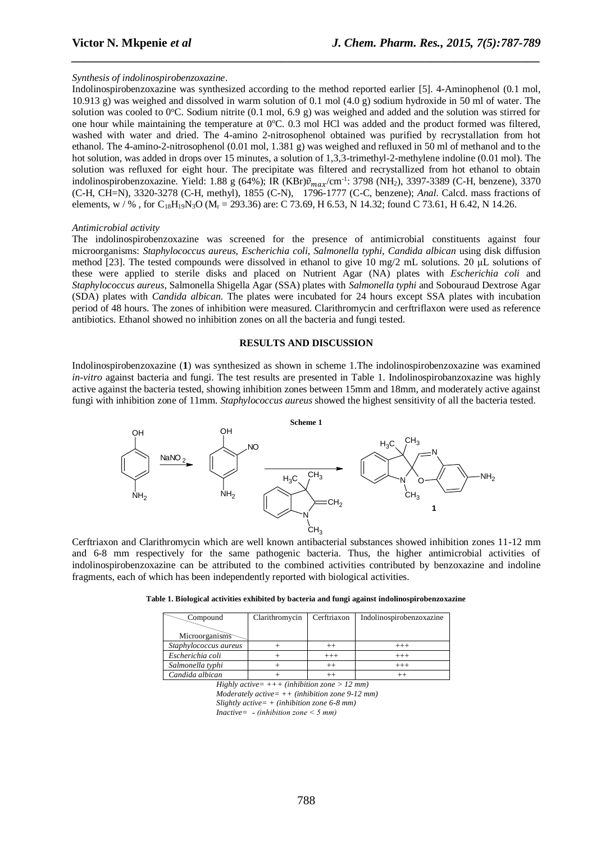#### *Synthesis of indolinospirobenzoxazine*.

Indolinospirobenzoxazine was synthesized according to the method reported earlier [5]. 4-Aminophenol (0.1 mol, 10.913 g) was weighed and dissolved in warm solution of 0.1 mol (4.0 g) sodium hydroxide in 50 ml of water. The solution was cooled to 0°C. Sodium nitrite (0.1 mol, 6.9 g) was weighed and added and the solution was stirred for one hour while maintaining the temperature at  $0^{\circ}$ C. 0.3 mol HCl was added and the product formed was filtered, washed with water and dried. The 4-amino 2-nitrosophenol obtained was purified by recrystallation from hot ethanol. The 4-amino-2-nitrosophenol (0.01 mol, 1.381 g) was weighed and refluxed in 50 ml of methanol and to the hot solution, was added in drops over 15 minutes, a solution of 1,3,3-trimethyl-2-methylene indoline (0.01 mol). The solution was refluxed for eight hour. The precipitate was filtered and recrystallized from hot ethanol to obtain indolinospirobenzoxazine. Yield: 1.88 g (64%); IR (KBr) $\tilde{v}_{max}/cm^{-1}$ : 3798 (NH<sub>2</sub>), 3397-3389 (C-H, benzene), 3370 (C-H, CH=N), 3320-3278 (C-H, methyl), 1855 (C-N), 1796-1777 (C-C, benzene); *Anal*. Calcd. mass fractions of elements,  $w / \%$ , for  $C_{18}H_{19}N_3O$  ( $M_r = 293.36$ ) are: C 73.69, H 6.53, N 14.32; found C 73.61, H 6.42, N 14.26.

*\_\_\_\_\_\_\_\_\_\_\_\_\_\_\_\_\_\_\_\_\_\_\_\_\_\_\_\_\_\_\_\_\_\_\_\_\_\_\_\_\_\_\_\_\_\_\_\_\_\_\_\_\_\_\_\_\_\_\_\_\_\_\_\_\_\_\_\_\_\_\_\_\_\_\_\_\_\_*

#### *Antimicrobial activity*

The indolinospirobenzoxazine was screened for the presence of antimicrobial constituents against four microorganisms: *Staphylococcus aureus*, *Escherichia coli*, *Salmonella typhi*, *Candida albican* using disk diffusion method [23]. The tested compounds were dissolved in ethanol to give 10 mg/2 mL solutions. 20 µL solutions of these were applied to sterile disks and placed on Nutrient Agar (NA) plates with *Escherichia coli* and *Staphylococcus aureus*, Salmonella Shigella Agar (SSA) plates with *Salmonella typhi* and Sobouraud Dextrose Agar (SDA) plates with *Candida albican*. The plates were incubated for 24 hours except SSA plates with incubation period of 48 hours. The zones of inhibition were measured. Clarithromycin and cerftriflaxon were used as reference antibiotics. Ethanol showed no inhibition zones on all the bacteria and fungi tested.

#### **RESULTS AND DISCUSSION**

Indolinospirobenzoxazine (**1**) was synthesized as shown in scheme 1.The indolinospirobenzoxazine was examined *in-vitro* against bacteria and fungi. The test results are presented in Table 1. Indolinospirobanzoxazine was highly active against the bacteria tested, showing inhibition zones between 15mm and 18mm, and moderately active against fungi with inhibition zone of 11mm. *Staphylococcus aureus* showed the highest sensitivity of all the bacteria tested.



Cerftriaxon and Clarithromycin which are well known antibacterial substances showed inhibition zones 11-12 mm and 6-8 mm respectively for the same pathogenic bacteria. Thus, the higher antimicrobial activities of indolinospirobenzoxazine can be attributed to the combined activities contributed by benzoxazine and indoline fragments, each of which has been independently reported with biological activities.

| Table 1. Biological activities exhibited by bacteria and fungi against indolinospirobenzoxazine |  |  |  |
|-------------------------------------------------------------------------------------------------|--|--|--|
|                                                                                                 |  |  |  |

| Compound              | Clarithromycin | Cerftriaxon | Indolinospirobenzoxazine |  |
|-----------------------|----------------|-------------|--------------------------|--|
| Microorganisms        |                |             |                          |  |
| Staphylococcus aureus |                |             |                          |  |
| Escherichia coli      |                | $^{+++}$    | $^{+++}$                 |  |
| Salmonella typhi      |                | $^{++}$     | $^{+++}$                 |  |
| Candida albican       |                |             |                          |  |

*Highly active= +++ (inhibition zone > 12 mm) Moderately active= ++ (inhibition zone 9-12 mm) Slightly active= + (inhibition zone 6-8 mm) Inactive= ˗ (inhibition zone < 5 mm)*